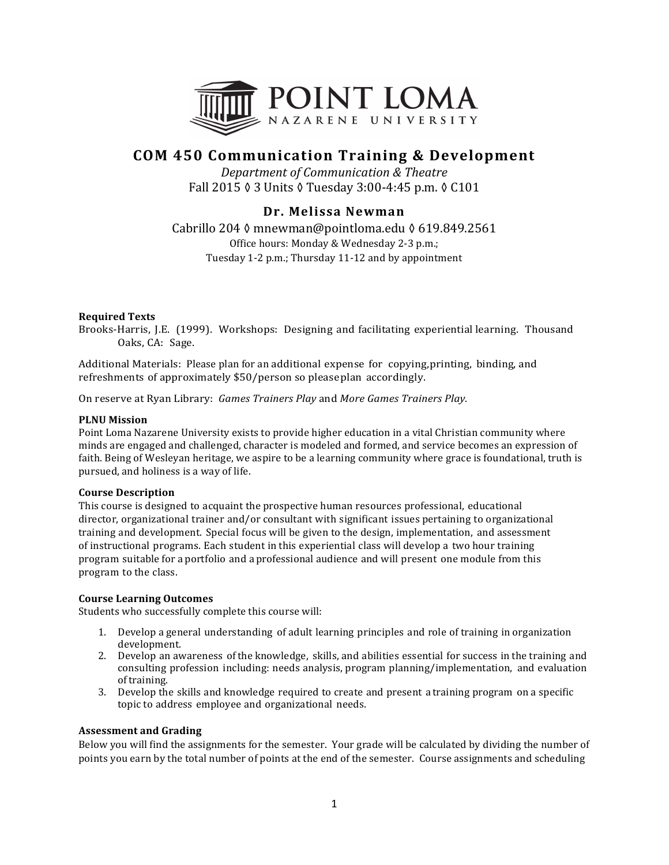

# **COM 450 Communication Training & Development**

*Department of Communication & Theatre* Fall 2015 ♦ 3 Units ♦ Tuesday 3:00-4:45 p.m. ♦ C101

## **Dr. Melissa Newman**

Cabrillo 204 ♦ mnewman@pointloma.edu ♦ 619.849.2561 Office hours: Monday & Wednesday 2-3 p.m.; Tuesday 1-2 p.m.; Thursday 11-12 and by appointment

### **Required Texts**

Brooks-Harris, J.E. (1999). Workshops: Designing and facilitating experiential learning. Thousand Oaks, CA: Sage.

Additional Materials: Please plan for an additional expense for copying, printing, binding, and refreshments of approximately \$50/person so please plan accordingly.

On reserve at Ryan Library: *Games Trainers Play* and *More Games Trainers Play.* 

#### **PLNU** Mission

Point Loma Nazarene University exists to provide higher education in a vital Christian community where minds are engaged and challenged, character is modeled and formed, and service becomes an expression of faith. Being of Wesleyan heritage, we aspire to be a learning community where grace is foundational, truth is pursued, and holiness is a way of life.

#### **Course Description**

This course is designed to acquaint the prospective human resources professional, educational director, organizational trainer and/or consultant with significant issues pertaining to organizational training and development. Special focus will be given to the design, implementation, and assessment of instructional programs. Each student in this experiential class will develop a two hour training program suitable for a portfolio and a professional audience and will present one module from this program to the class.

#### **Course Learning Outcomes**

Students who successfully complete this course will:

- 1. Develop a general understanding of adult learning principles and role of training in organization development.
- 2. Develop an awareness of the knowledge, skills, and abilities essential for success in the training and consulting profession including: needs analysis, program planning/implementation, and evaluation of training.
- 3. Develop the skills and knowledge required to create and present a training program on a specific topic to address employee and organizational needs.

## **Assessment and Grading**

Below you will find the assignments for the semester. Your grade will be calculated by dividing the number of points you earn by the total number of points at the end of the semester. Course assignments and scheduling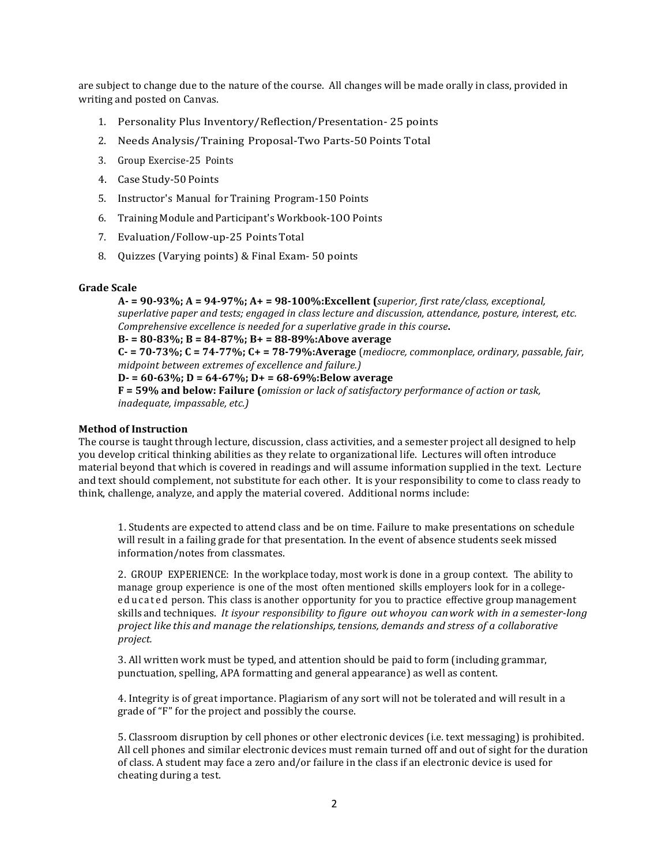are subject to change due to the nature of the course. All changes will be made orally in class, provided in writing and posted on Canvas.

- 1. Personality Plus Inventory/Reflection/Presentation- 25 points
- 2. Needs Analysis/Training Proposal-Two Parts-50 Points Total
- 3. Group Exercise-25 Points
- 4. Case Study-50 Points
- 5. Instructor's Manual for Training Program-150 Points
- 6. Training Module and Participant's Workbook-100 Points
- 7. Evaluation/Follow-up-25 Points Total
- 8. Ouizzes (Varying points) & Final Exam- 50 points

#### **Grade Scale**

A- = 90-93%; A = 94-97%; A+ = 98-100%:Excellent (superior, first rate/class, exceptional, *superlative paper and tests; engaged in class lecture and discussion, attendance, posture, interest, etc. Comprehensive excellence is needed for a superlative grade in this course.* 

## **B- = 80-83%; B = 84-87%; B+ = 88-89%:Above average**

**C- = 70-73%; C = 74-77%; C+ = 78-79%:Average** (*mediocre, commonplace, ordinary, passable, fair, midpoint between extremes of excellence and failure.)* 

#### **D**- = 60-63%; **D** = 64-67%; **D**+ = 68-69%: Below average

**F** = 59% and below: Failure (*omission or lack of satisfactory performance of action or task, inadequate, impassable, etc.)*

#### **Method of Instruction**

The course is taught through lecture, discussion, class activities, and a semester project all designed to help you develop critical thinking abilities as they relate to organizational life. Lectures will often introduce material beyond that which is covered in readings and will assume information supplied in the text. Lecture and text should complement, not substitute for each other. It is your responsibility to come to class ready to think, challenge, analyze, and apply the material covered. Additional norms include:

1. Students are expected to attend class and be on time. Failure to make presentations on schedule will result in a failing grade for that presentation. In the event of absence students seek missed information/notes from classmates.

2. GROUP EXPERIENCE: In the workplace today, most work is done in a group context. The ability to manage group experience is one of the most often mentioned skills employers look for in a collegeeducated person. This class is another opportunity for you to practice effective group management skills and techniques. *It isyour responsibility to figure out whoyou canwork with in a semester-long project like this and manage the relationships,tensions, demands and stress of a collaborative project.*

3. All written work must be typed, and attention should be paid to form (including grammar, punctuation, spelling, APA formatting and general appearance) as well as content.

4. Integrity is of great importance. Plagiarism of any sort will not be tolerated and will result in a grade of "F" for the project and possibly the course.

5. Classroom disruption by cell phones or other electronic devices (i.e. text messaging) is prohibited. All cell phones and similar electronic devices must remain turned off and out of sight for the duration of class. A student may face a zero and/or failure in the class if an electronic device is used for cheating during a test.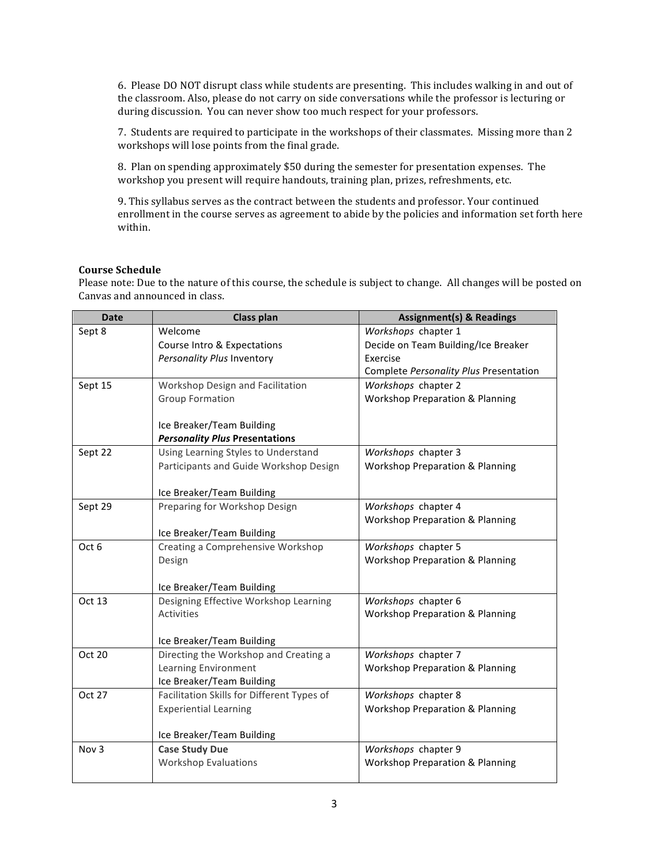6. Please DO NOT disrupt class while students are presenting. This includes walking in and out of the classroom. Also, please do not carry on side conversations while the professor is lecturing or during discussion. You can never show too much respect for your professors.

7. Students are required to participate in the workshops of their classmates. Missing more than 2 workshops will lose points from the final grade.

8. Plan on spending approximately \$50 during the semester for presentation expenses. The workshop you present will require handouts, training plan, prizes, refreshments, etc.

9. This syllabus serves as the contract between the students and professor. Your continued enrollment in the course serves as agreement to abide by the policies and information set forth here within.

#### **Course Schedule**

Please note: Due to the nature of this course, the schedule is subject to change. All changes will be posted on Canvas and announced in class.

| <b>Date</b>      | <b>Class plan</b>                                  | <b>Assignment(s) &amp; Readings</b>        |
|------------------|----------------------------------------------------|--------------------------------------------|
| Sept 8           | Welcome                                            | Workshops chapter 1                        |
|                  | Course Intro & Expectations                        | Decide on Team Building/Ice Breaker        |
|                  | Personality Plus Inventory                         | Exercise                                   |
|                  |                                                    | Complete Personality Plus Presentation     |
| Sept 15          | Workshop Design and Facilitation                   | Workshops chapter 2                        |
|                  | <b>Group Formation</b>                             | <b>Workshop Preparation &amp; Planning</b> |
|                  |                                                    |                                            |
|                  | Ice Breaker/Team Building                          |                                            |
|                  | <b>Personality Plus Presentations</b>              |                                            |
| Sept 22          | Using Learning Styles to Understand                | Workshops chapter 3                        |
|                  | Participants and Guide Workshop Design             | <b>Workshop Preparation &amp; Planning</b> |
|                  |                                                    |                                            |
|                  | Ice Breaker/Team Building                          |                                            |
| Sept 29          | Preparing for Workshop Design                      | Workshops chapter 4                        |
|                  |                                                    | <b>Workshop Preparation &amp; Planning</b> |
|                  | Ice Breaker/Team Building                          |                                            |
| Oct 6            | Creating a Comprehensive Workshop                  | Workshops chapter 5                        |
|                  | Design                                             | <b>Workshop Preparation &amp; Planning</b> |
|                  |                                                    |                                            |
|                  | Ice Breaker/Team Building                          |                                            |
| Oct 13           | Designing Effective Workshop Learning              | Workshops chapter 6                        |
|                  | <b>Activities</b>                                  | <b>Workshop Preparation &amp; Planning</b> |
|                  |                                                    |                                            |
|                  | Ice Breaker/Team Building                          |                                            |
| Oct 20           | Directing the Workshop and Creating a              | Workshops chapter 7                        |
|                  | Learning Environment                               | <b>Workshop Preparation &amp; Planning</b> |
|                  | Ice Breaker/Team Building                          |                                            |
| Oct 27           | Facilitation Skills for Different Types of         | Workshops chapter 8                        |
|                  | <b>Experiential Learning</b>                       | <b>Workshop Preparation &amp; Planning</b> |
|                  |                                                    |                                            |
| Nov <sub>3</sub> | Ice Breaker/Team Building<br><b>Case Study Due</b> | Workshops chapter 9                        |
|                  | <b>Workshop Evaluations</b>                        |                                            |
|                  |                                                    | <b>Workshop Preparation &amp; Planning</b> |
|                  |                                                    |                                            |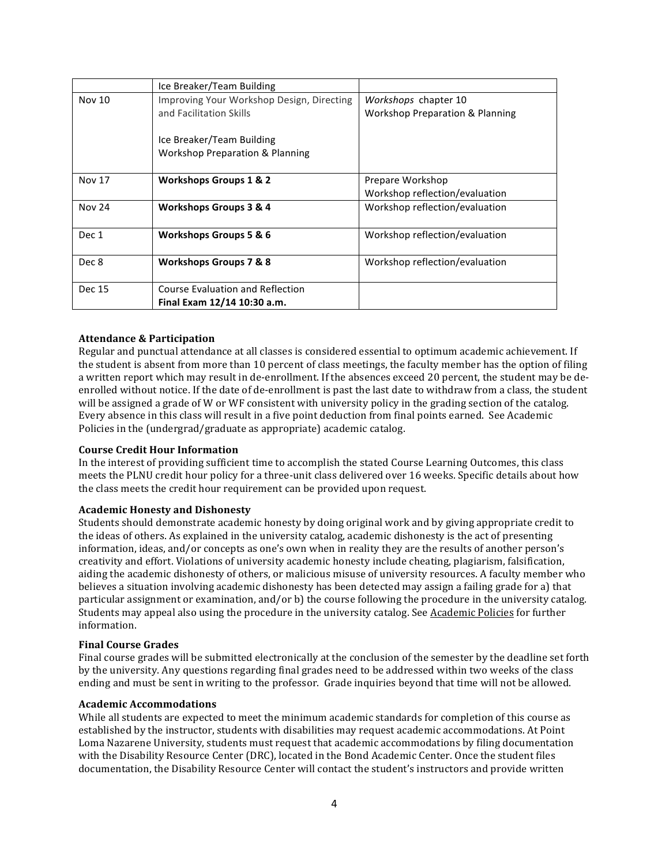|               | Ice Breaker/Team Building                  |                                            |
|---------------|--------------------------------------------|--------------------------------------------|
| Nov 10        | Improving Your Workshop Design, Directing  | Workshops chapter 10                       |
|               | and Facilitation Skills                    | <b>Workshop Preparation &amp; Planning</b> |
|               |                                            |                                            |
|               | Ice Breaker/Team Building                  |                                            |
|               | <b>Workshop Preparation &amp; Planning</b> |                                            |
|               |                                            |                                            |
| <b>Nov 17</b> | Workshops Groups 1 & 2                     | Prepare Workshop                           |
|               |                                            | Workshop reflection/evaluation             |
| <b>Nov 24</b> | <b>Workshops Groups 3 &amp; 4</b>          | Workshop reflection/evaluation             |
|               |                                            |                                            |
| Dec 1         | <b>Workshops Groups 5 &amp; 6</b>          | Workshop reflection/evaluation             |
|               |                                            |                                            |
| Dec 8         | Workshops Groups 7 & 8                     | Workshop reflection/evaluation             |
|               |                                            |                                            |
| Dec 15        | <b>Course Evaluation and Reflection</b>    |                                            |
|               | Final Exam 12/14 10:30 a.m.                |                                            |

#### **Attendance & Participation**

Regular and punctual attendance at all classes is considered essential to optimum academic achievement. If the student is absent from more than 10 percent of class meetings, the faculty member has the option of filing a written report which may result in de-enrollment. If the absences exceed 20 percent, the student may be deenrolled without notice. If the date of de-enrollment is past the last date to withdraw from a class, the student will be assigned a grade of W or WF consistent with university policy in the grading section of the catalog. Every absence in this class will result in a five point deduction from final points earned. See Academic Policies in the (undergrad/graduate as appropriate) academic catalog.

#### **Course Credit Hour Information**

In the interest of providing sufficient time to accomplish the stated Course Learning Outcomes, this class meets the PLNU credit hour policy for a three-unit class delivered over 16 weeks. Specific details about how the class meets the credit hour requirement can be provided upon request.

#### **Academic Honesty and Dishonesty**

Students should demonstrate academic honesty by doing original work and by giving appropriate credit to the ideas of others. As explained in the university catalog, academic dishonesty is the act of presenting information, ideas, and/or concepts as one's own when in reality they are the results of another person's creativity and effort. Violations of university academic honesty include cheating, plagiarism, falsification, aiding the academic dishonesty of others, or malicious misuse of university resources. A faculty member who believes a situation involving academic dishonesty has been detected may assign a failing grade for a) that particular assignment or examination, and/or b) the course following the procedure in the university catalog. Students may appeal also using the procedure in the university catalog. See Academic Policies for further information.

#### **Final Course Grades**

Final course grades will be submitted electronically at the conclusion of the semester by the deadline set forth by the university. Any questions regarding final grades need to be addressed within two weeks of the class ending and must be sent in writing to the professor. Grade inquiries beyond that time will not be allowed.

#### **Academic Accommodations**

While all students are expected to meet the minimum academic standards for completion of this course as established by the instructor, students with disabilities may request academic accommodations. At Point Loma Nazarene University, students must request that academic accommodations by filing documentation with the Disability Resource Center (DRC), located in the Bond Academic Center. Once the student files documentation, the Disability Resource Center will contact the student's instructors and provide written